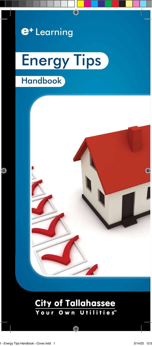

# **Handbook** Energy Tips



#### **City of Tallahassee** Utilities<sup>®</sup>  $0 w n$  $0<sub>u</sub>$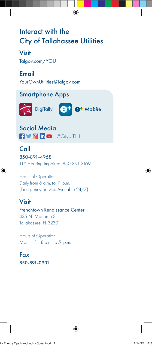# Interact with the City of Tallahassee Utilities

#### Visit

Talgov.com/YOU

#### Email

YourOwnUtilities@Talgov.com

#### Smartphone Apps





Social Media **f in D** @CityofTLH

#### Call 850-891-4968 TTY Hearing Impaired: 850-891-8169

Hours of Operation: Daily from 6 a.m. to 11 p.m. (Emergency Service Available 24/7)

### Visit

Frenchtown Renaissance Center 435 N. Macomb St. Tallahassee, FL 32301

Hours of Operation: Mon. – Fri. 8 a.m. to 5 p.m.

Fax 850-891-0901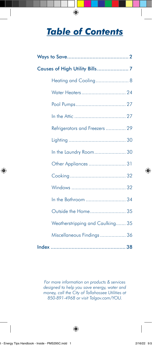# **Table of Contents**

| Heating and Cooling 8            |  |
|----------------------------------|--|
| Water Heaters 24                 |  |
|                                  |  |
|                                  |  |
| Refrigerators and Freezers  29   |  |
|                                  |  |
| In the Laundry Room 30           |  |
| Other Appliances  31             |  |
|                                  |  |
|                                  |  |
| In the Bathroom  34              |  |
| Outside the Home 35              |  |
| Weatherstripping and Caulking 35 |  |
| Miscellaneous Findings  36       |  |
|                                  |  |

For more information on products & services designed to help you save energy, water and money, call the City of Tallahassee Utilities at 850-891-4968 or visit Talgov.com/YOU.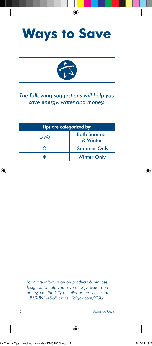



#### *The following suggestions will help you save energy, water and money.*

| Tips are categorized by: |                                |  |
|--------------------------|--------------------------------|--|
| ☆/※                      | <b>Both Summer</b><br>& Winter |  |
|                          | <b>Summer Only</b>             |  |
| ₩                        | <b>Winter Only</b>             |  |

*For more information on products & services designed to help you save energy, water and money, call the City of Tallahassee Utilities at 850-891-4968 or visit Talgov.com/YOU.*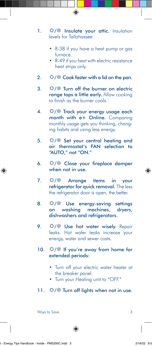- 1.  $\hat{\varphi}/\hat{\ast}$  Insulate your attic. Insulation levels for Tallahassee:
	- R-38 if you have a heat pump or gas furnace.
	- R-49 if you heat with electric resistance heat strips only.
- 2.  $\hat{\varphi}/\hat{\varphi}$  Cook faster with a lid on the pan.
- 3.  $\hat{\varphi}$ /  $\hat{\varphi}$  Turn off the burner on electric ranae tops a little early. Allow cooking to finish as the burner cools.
- 4.  $\hat{\varphi}$ /  $\hat{*}$  Track your energy usage each month with e+ Online. Comparing monthly usage gets you thinking, changing habits and using less energy.
- 5.  $\hat{\heartsuit}/$  Set your central heating and air thermostat's FAN selection to "AUTO," not "ON."
- 6.  $\varphi/\$  Close your fireplace damper when not in use.
- 7.  $\hat{\varphi}/\hat{\mathscr{R}}$  Arrange items in your refrigerator for quick removal. The less the refrigerator door is open, the better.
- 8.  $\hat{\heartsuit}/$  Use energy-saving settings on washing machines, dryers, dishwashers and refrigerators.
- 9.  $\hat{\vee}$ / \* Use hot water wisely. Repair leaks. Hot water leaks increase your energy, water and sewer costs.
- 10.  $\hat{\vee}\times\hat{\mathbb{F}}$  If you're away from home for extended periods:
	- Turn off your electric water heater at the breaker panel.
	- Turn your Heating unit to "OFF."
- 11.  $\hat{\varphi}$ /  $\hat{\mathscr{F}}$  Turn off lights when not in use.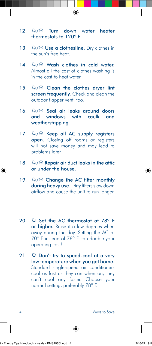- 12.  $\hat{\varphi}$ / \* Turn down water heater thermostats to 120º F.
- 13.  $\hat{\nabla}/\hat{\nabla}$  Use a clothesline. Dry clothes in the sun's free heat.
- 14.  $\hat{\vee}$  /  $\hat{\mathbb{X}}$  Wash clothes in cold water. Almost all the cost of clothes washing is in the cost to heat water.
- 15.  $\hat{\vee}\times\hat{\mathbb{C}}$  Clean the clothes drver lint screen frequently. Check and clean the outdoor flapper vent, too.
- 16.  $\hat{V}/\hat{V}$  Seal air leaks around doors and windows with caulk and weatherstripping.
- 17.  $\hat{\nabla}/\hat{\nabla}$  Keep all AC supply registers open. Closing off rooms or registers will not save money and may lead to problems later.
- 18.  $\hat{\varphi}$ /  $\hat{\mathscr{F}}$  Repair air duct leaks in the attic or under the house.
- 19.  $\hat{\varphi}/\hat{\mathscr{R}}$  Change the AC filter monthly during heavy use. Dirty filters slow down airflow and cause the unit to run longer.
- 20.  $\hat{\varphi}$  Set the AC thermostat at 78° F or higher. Raise it a few degrees when away during the day. Setting the AC at 70º F instead of 78º F can double your operating cost!
- 21.  $\hat{\varphi}$  Don't try to speed-cool at a very low temperature when you get home. Standard single-speed air conditioners cool as fast as they can when on; they can't cool any faster. Choose your normal setting, preferably 78º F.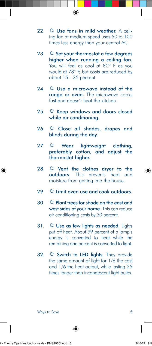- 22.  $\Diamond$  Use fans in mild weather. A ceiling fan at medium speed uses 50 to 100 times less energy than your central AC.
- 23.  $\Diamond$  Set your thermostat a few degrees higher when running a ceiling fan. You will feel as cool at 80° F as you would at 78º F, but costs are reduced by about 15 - 25 percent.
- 24.  $\circled{1}$  Use a microwave instead of the range or oven. The microwave cooks fast and doesn't heat the kitchen.
- 25.  $\circled{1}$  Keep windows and doors closed while air conditioning.
- 26.  $\hat{\varphi}$  Close all shades, drapes and blinds during the day.
- 27.  $\Leftrightarrow$  Wear lightweight clothing, preferably cotton, and adjust the thermostat higher.
- 28.  $\Leftrightarrow$  Vent the clothes dryer to the outdoors. This prevents heat and moisture from getting into the house.
- $29.$   $\ddot{Q}$  Limit oven use and cook outdoors.
- 30.  $\Diamond$  Plant trees for shade on the east and west sides of your home. This can reduce air conditioning costs by 30 percent.
- 31.  $\Diamond$  Use as few lights as needed. Lights put off heat. About 99 percent of a lamp's energy is converted to heat while the remaining one percent is converted to light.
- 32.  $\hat{\varphi}$  Switch to LED lights. They provide the same amount of light for 1/6 the cost and 1/6 the heat output, while lasting 25 times longer than incandescent light bulbs.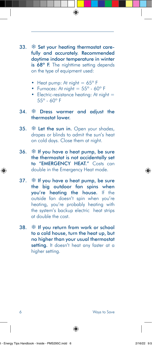- 33. *Sharehour heating thermostat care*fully and accurately. Recommended daytime indoor temperature in winter is 68° F. The nighttime setting depends on the type of equipment used:
	- Heat pump: At night  $= 65^\circ$  F
	- Furnaces: At night  $= 55^\circ$  60 $^\circ$  F
	- Electric-resistance heating: At night  $=$ 55º - 60º F

#### 34. **We Dress warmer and adjust the** thermostat lower.

- 35.  $*$  Let the sun in. Open your shades, drapes or blinds to admit the sun's heat on cold days. Close them at night.
- 36.  $*$  If you have a heat pump, be sure the thermostat is not accidentally set to "EMERGENCY HEAT." Costs can double in the Emergency Heat mode.
- 37.  $*$  If you have a heat pump, be sure the big outdoor fan spins when you're heating the house. If the outside fan doesn't spin when you're heating, you're probably heating with the system's backup electric heat strips at double the cost.
- $38.$   $\frac{1}{28}$  If you return from work or school to a cold house, turn the heat up, but no higher than your usual thermostat setting. It doesn't heat any faster at a higher setting.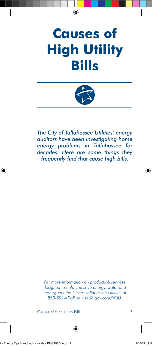# **Causes of High Utility Bills**



*The City of Tallahassee Utilities' energy auditors have been investigating home energy problems in Tallahassee for decades. Here are some things they frequently find that cause high bills.*

*For more information on products & services designed to help you save energy, water and money, call the City of Tallahassee Utilities at 850-891-4968 or visit Talgov.com/YOU.*

Causes of High Utility Bills 7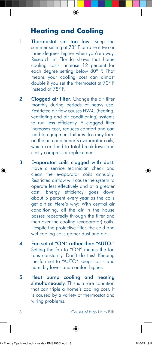## **Heating and Cooling**

- 1. Thermostat set too low. Keep the summer setting at 78° F or raise it two or three degrees higher when you're away. Research in Florida shows that home cooling costs increase 12 percent for each degree setting below 80º F. That means your cooling cost can almost double if you set the thermostat at 70º F instead of 78º F.
- 2. Clogged air filter. Change the air filter monthly during periods of heavy use. Restricted air flow causes HVAC (heating, ventilating and air conditioning) systems to run less efficiently. A clogged filter increases cost, reduces comfort and can lead to equipment failures. Ice may form on the air conditioner's evaporator coils, which can lead to total breakdown and costly compressor replacement.
- 3. Evaporator coils clogged with dust. Have a service technician check and clean the evaporator coils annually. Restricted airflow will cause the system to operate less effectively and at a greater cost. Energy efficiency goes down about 5 percent every year as the coils get dirtier. Here's why: With central air conditioning, all the air in the house passes repeatedly through the filter and then over the cooling (evaporator) coils. Despite the protective filter, the cold and wet cooling coils gather dust and dirt.
- 4. Fan set at "ON" rather than "AUTO." Setting the fan to "ON" means the fan runs constantly. Don't do this! Keeping the fan set to "AUTO" keeps costs and humidity lower and comfort higher.
- 5. Heat pump cooling and heating simultaneously. This is a rare condition that can triple a home's cooling cost. It is caused by a variety of thermostat and wiring problems.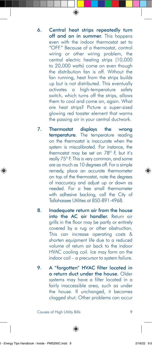- 6. Central heat strips repeatedly turn off and on in summer. This happens even with the indoor thermostat set to "OFF." Because of a thermostat, control wiring or other wiring problem, the central electric heating strips (10,000 to 20,000 watts) come on even though the distribution fan is off. Without the fan running, heat from the strips builds up but is not distributed. This eventually activates a high-temperature safety switch, which turns off the strips, allows them to cool and come on, again. What are heat strips? Picture a super-sized glowing red toaster element that warms the passing air in your central ductwork.
- 7. Thermostat displays the wrong **temperature**. The temperature reading on the thermostat is inaccurate when the system is miscalibrated. For instance, the thermostat may be set on 78º F, but it's really 75º F. This is very common, and some are as much as 10 degrees off. For a simple remedy, place an accurate thermometer on top of the thermostat, note the degrees of inaccuracy and adjust up or down as needed. For a free small thermometer with adhesive backing, call the City of Tallahassee Utilities at 850-891-4968.
- 8. Inadequate return air from the house into the AC air handler. Return air grills in the floor may be partly or entirely covered by a rug or other obstruction. This can increase operating costs & shorten equipment life due to a reduced volume of return air back to the indoor HVAC cooling coil. Ice may form on the indoor coil – a precursor to system failure.
- 9. A "forgotten" HVAC filter located in a return duct under the house. Older systems may have a filter located in a fairly inaccessible area, such as under the house. If unchanged, it becomes clogged shut. Other problems can occur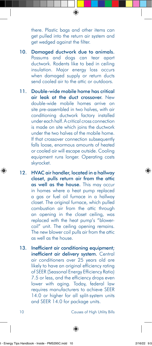there. Plastic bags and other items can get pulled into the return air system and get wedged against the filter.

- 10. Damaged ductwork due to animals. Possums and dogs can tear apart ductwork. Rodents like to bed in ceiling insulation. Major energy loss occurs when damaged supply or return ducts send cooled air to the attic or outdoors.
- 11. Double-wide mobile home has critical air leak at the duct crossover. New double-wide mobile homes arrive on site pre-assembled in two halves, with air conditioning ductwork factory installed under each half. A critical cross connection is made on site which joins the ductwork under the two halves of the mobile home. If that crossover connection subsequently falls loose, enormous amounts of heated or cooled air will escape outside. Cooling equipment runs longer. Operating costs skyrocket.
- 12. HVAC air handler, located in a hallway closet, pulls return air from the attic as well as the house. This may occur in homes where a heat pump replaced a gas or fuel oil furnace in a hallway closet. The original furnace, which pulled combustion air from the attic through an opening in the closet ceiling, was replaced with the heat pump's "blowercoil" unit. The ceiling opening remains. The new blower coil pulls air from the attic as well as the house.
- 13. Inefficient air conditioning equipment; inefficient air delivery system. Central air conditioners over 25 years old are likely to have an original efficiency rating of SEER (Seasonal Energy Efficiency Ratio) 7.5 or less, and the efficiency drops even lower with aging. Today, federal law requires manufacturers to achieve SEER 14.0 or higher for all split-system units and SEER 14.0 for package units.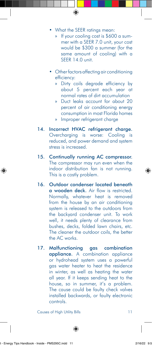• What the SEER ratings mean:

- » If your cooling cost is \$600 a summer with a SEER 7.0 unit, your cost would be \$300 a summer (for the same amount of cooling) with a SEER 14.0 unit.
- Other factors affecting air conditioning efficiency:
	- » Dirty coils degrade efficiency by about 5 percent each year at normal rates of dirt accumulation
	- » Duct leaks account for about 20 percent of air conditioning energy consumption in most Florida homes
	- » Improper refrigerant charge
- 14. Incorrect HVAC refrigerant charge. Overcharging is worse: Cooling is reduced, and power demand and system stress is increased.
- 15. Continually running AC compressor. The compressor may run even when the indoor distribution fan is not running. This is a costly problem.
- 16. Outdoor condenser located beneath a wooden deck. Air flow is restricted. Normally, whatever heat is removed from the house by an air conditioning system is released to the outdoors from the backyard condenser unit. To work well, it needs plenty of clearance from bushes, decks, folded lawn chairs, etc. The cleaner the outdoor coils, the better the AC works.
- 17. Malfunctioning gas combination appliance. A combination appliance or hydrohead system uses a powerful gas water heater to heat the residence in winter, as well as heating the water all year. If it keeps sending heat to the house, so in summer, it's a problem. The cause could be faulty check valves installed backwards, or faulty electronic controls.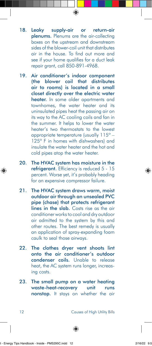- 18. Leaky supply-air or return-air plenums. Plenums are the air-collecting boxes on the upstream and downstream sides of the blower-coil unit that distributes air in the house. To find out more and see if your home qualifies for a duct leak repair grant, call 850-891-4968.
- 19. Air conditioner's indoor component (the blower coil that distributes air to rooms) is located in a small closet directly over the electric water heater. In some older apartments and townhomes, the water heater and its uninsulated pipes heat the passing air on its way to the AC cooling coils and fan in the summer. It helps to lower the water heater's two thermostats to the lowest appropriate temperature (usually 115º – 125º F in homes with dishwashers) and insulate the water heater and the hot and cold pipes atop the water heater.
- 20. The HVAC system has moisture in the refrigerant. Efficiency is reduced 5 - 15 percent. Worse yet, it's probably heading for an expensive compressor failure.
- 21. The HVAC system draws warm, moist outdoor air through an unsealed PVC pipe (chase) that protects refrigerant lines in the slab. Costs rise as the air conditioner works to cool and dry outdoor air admitted to the system by this and other routes. The best remedy is usually an application of spray-expanding foam caulk to seal those airways.
- 22. The clothes dryer vent shoots lint onto the air conditioner's outdoor condenser coils. Unable to release heat, the AC system runs longer, increasing costs.
- 23. The small pump on a water heating waste-heat-recovery unit runs nonstop. It stays on whether the air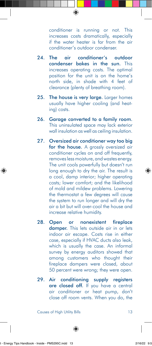conditioner is running or not. This increases costs dramatically, especially if the water heater is far from the air conditioner's outdoor condenser.

- 24. The air conditioner's outdoor condenser bakes in the sun. This increases operating costs. The optimal position for the unit is on the home's north side, in shade with 4 feet of clearance (plenty of breathing room).
- 25. The house is very large. Larger homes usually have higher cooling (and heating) costs.
- 26. Garage converted to a family room. This uninsulated space may lack exterior wall insulation as well as ceiling insulation.
- 27. Oversized air conditioner way too big for the house. A grossly oversized air conditioner cycles on and off frequently, removes less moisture, and wastes energy. The unit cools powerfully but doesn't run long enough to dry the air. The result is a cool, damp interior; higher operating costs; lower comfort; and the likelihood of mold and mildew problems. Lowering the thermostat a few degrees will cause the system to run longer and will dry the air a bit but will over-cool the house and increase relative humidity.
- 28. Open or nonexistent fireplace damper. This lets outside air in or lets indoor air escape. Costs rise in either case, especially if HVAC ducts also leak, which is usually the case. An informal survey by energy auditors showed that among customers who thought their fireplace dampers were closed, about 50 percent were wrong; they were open.
- 29. Air conditioning supply registers are closed off. If you have a central air conditioner or heat pump, don't close off room vents. When you do, the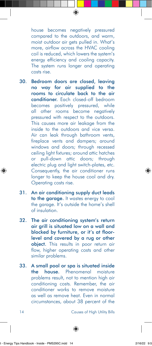house becomes negatively pressured compared to the outdoors, and warm, moist outdoor air gets pulled in. What's more, airflow across the HVAC cooling coil is reduced, which lowers the system's energy efficiency and cooling capacity. The system runs longer and operating costs rise.

- 30. Bedroom doors are closed, leaving no way for air supplied to the rooms to circulate back to the air conditioner. Each closed-off bedroom becomes positively pressured, while all other rooms become negatively pressured with respect to the outdoors. This causes more air leakage from the inside to the outdoors and vice versa. Air can leak through bathroom vents, fireplace vents and dampers; around windows and doors; through recessed ceiling light fixtures; around attic hatches or pull-down attic doors; through electric plug and light switch-plates, etc. Consequently, the air conditioner runs longer to keep the house cool and dry. Operating costs rise.
- 31. An air conditioning supply duct leads to the garage. It wastes energy to cool the garage. It's outside the home's shell of insulation.
- 32. The air conditioning system's return air grill is situated low on a wall and blocked by furniture, or it's at floorlevel and covered by a rug or other object. This results in poor return air flow, higher operating costs and other similar problems.
- 33. A small pool or spa is situated inside the house. Phenomenal moisture problems result, not to mention high air conditioning costs. Remember, the air conditioner works to remove moisture as well as remove heat. Even in normal circumstances, about 38 percent of the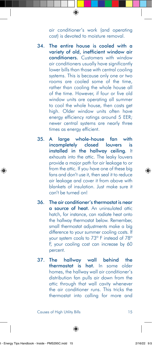air conditioner's work (and operating cost) is devoted to moisture removal.

- 34. The entire house is cooled with a variety of old, inefficient window air conditioners. Customers with window air conditioners usually have significantly lower bills than those with central cooling systems. This is because only one or two rooms are cooled some of the time, rather than cooling the whole house all of the time. However, if four or five old window units are operating all summer to cool the whole house, then costs get high. Older window units often have energy efficiency ratings around 5 EER; newer central systems are nearly three times as energy efficient.
- 35. A large whole-house fan with incompletely closed louvers is installed in the hallway ceiling. It exhausts into the attic. The leaky louvers provide a major path for air leakage to or from the attic. If you have one of these big fans and don't use it, then seal it to reduce air leakage and cover it from above with blankets of insulation. Just make sure it can't be turned on!
- 36. The air conditioner's thermostat is near a source of heat. An uninsulated attic hatch, for instance, can radiate heat onto the hallway thermostat below. Remember, small thermostat adjustments make a big difference to your summer cooling costs. If your system cools to 73º F instead of 78º F, your cooling cost can increase by 60 percent.
- 37. The hallway wall behind the thermostat is hot. In some older homes, the hallway wall air conditioner's distribution fan pulls air down from the attic through that wall cavity whenever the air conditioner runs. This tricks the thermostat into calling for more and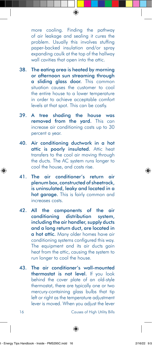more cooling. Finding the pathway of air leakage and sealing it cures the problem. Usually this involves stuffing paper-backed insulation and/or spray expanding caulk at the top of the hallway wall cavities that open into the attic.

- 38. The eating area is heated by morning or afternoon sun streaming through a sliding glass door. This common situation causes the customer to cool the entire house to a lower temperature in order to achieve acceptable comfort levels at that spot. This can be costly.
- 39. A tree shading the house was removed from the yard. This can increase air conditioning costs up to 30 percent a year.
- 40. Air conditioning ductwork in a hot attic is poorly insulated. Attic heat transfers to the cool air moving through the ducts. The AC system runs longer to cool the house, and costs rise.
- 41. The air conditioner's return air plenum box, constructed of sheetrock, is uninsulated, leaky and located in a hot garage. This is fairly common and increases costs.
- 42. All the components of the air conditioning distribution system, including the air handler, supply ducts and a long return duct, are located in a hot attic. Many older homes have air conditioning systems configured this way. The equipment and its air ducts gain heat from the attic, causing the system to run longer to cool the house.
- 43. The air conditioner's wall-mounted thermostat is not level. If you look behind the cover plate of an old-style thermostat, there are typically one or two mercury-containing glass bulbs that tip left or right as the temperature adjustment lever is moved. When you adjust the lever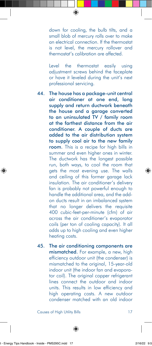down for cooling, the bulb tilts, and a small blob of mercury rolls over to make an electrical connection. If the thermostat is not level, the mercury rollover and thermostat's calibration are affected.

Level the thermostat easily using adjustment screws behind the faceplate or have it leveled during the unit's next professional servicing.

- 44. The house has a package-unit central air conditioner at one end, long supply and return ductwork beneath the house and a garage converted to an uninsulated TV / family room at the farthest distance from the air conditioner. A couple of ducts are added to the air distribution system to supply cool air to the new family room. This is a recipe for high bills in summer and even higher ones in winter. The ductwork has the longest possible run, both ways, to cool the room that gets the most evening use. The walls and ceiling of this former garage lack insulation. The air conditioner's delivery fan is probably not powerful enough to handle the additional area, and the addon ducts result in an imbalanced system that no longer delivers the requisite 400 cubic-feet-per-minute (cfm) of air across the air conditioner's evaporator coils (per ton of cooling capacity). It all adds up to high cooling and even higher heating costs.
- 45. The air conditioning components are mismatched. For example, a new, high efficiency outdoor unit (the condenser) is mismatched to the original, 15-year-old indoor unit (the indoor fan and evaporator coil). The original copper refrigerant lines connect the outdoor and indoor units. This results in low efficiency and high operating costs. A new outdoor condenser matched with an old indoor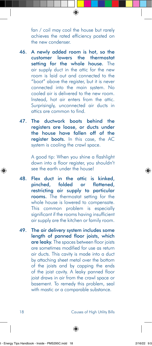fan / coil may cool the house but rarely achieves the rated efficiency posted on the new condenser.

- 46. A newly added room is hot, so the customer lowers the thermostat setting for the whole house. The air supply duct in the attic for the new room is laid out and connected to the "boot" above the register, but it is never connected into the main system. No cooled air is delivered to the new room. Instead, hot air enters from the attic. Surprisingly, unconnected air ducts in attics are common to find.
- 47. The ductwork boots behind the registers are loose, or ducts under the house have fallen off of the register boots. In this case, the AC system is cooling the crawl space.

A good tip: When you shine a flashlight down into a floor register, you shouldn't see the earth under the house!

- 48. Flex duct in the attic is kinked, pinched, folded or flattened, restricting air supply to particular rooms. The thermostat setting for the whole house is lowered to compensate. This common problem is especially significant if the rooms having insufficient air supply are the kitchen or family room.
- 49. The air delivery system includes some length of panned floor joists, which are leaky. The spaces between floor joists are sometimes modified for use as return air ducts. This cavity is made into a duct by attaching sheet metal over the bottom of the joists and by capping the ends of the joist cavity. A leaky panned floor joist draws in air from the crawl space or basement. To remedy this problem, seal with mastic or a comparable substance.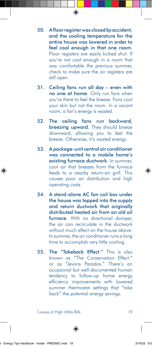- 50. A floor register was closed by accident, and the cooling temperature for the entire house was lowered in order to feel cool enough in that one room. Floor registers are easily kicked shut. If you're not cool enough in a room that was comfortable the previous summer, check to make sure the air registers are still open.
- 51. Ceiling fans run all day even with no one at home. Only run fans when you're there to feel the breeze. Fans cool your skin but not the room. In a vacant room, a fan's energy is wasted.
- 52. The ceiling fans run backward, breezing upward. They should breeze downward, allowing you to feel the breeze. Otherwise, it's wasted energy.
- 53. A package-unit central air conditioner was connected to a mobile home's existing furnace ductwork. In summer, cool air that breezes from the furnace feeds to a nearby return-air grill. This causes poor air distribution and high operating costs.
- 54. A stand-alone AC fan coil box under the house was tapped into the supply and return ductwork that originally distributed heated air from an old oil furnace. With no directional damper, the air can recirculate in the ductwork without much effect on the house above. In summer, the air conditioner runs a long time to accomplish very little cooling.
- 55. The "Takeback Effect." This is also known as "The Conservation Effect." or as "Jevons Paradox." There's an occasional but well-documented human tendency to follow-up home energy efficiency improvements with lowered summer thermostat settings that "take back" the potential energy savings.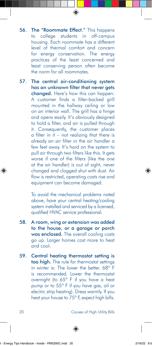- 56. The "Roommate Effect." This happens to college students in off-campus housing. Each roommate has a different level of thermal comfort and concern for energy conservation. The energy practices of the least concerned and least conserving person often become the norm for all roommates.
- 57. The central air-conditioning system has an unknown filter that never gets changed. Here's how this can happen: A customer finds a filter-backed grill mounted in the hallway ceiling or low on an interior wall. The grill has a hinge and opens easily. It's obviously designed to hold a filter, and air is pulled through it. Consequently, the customer places a filter in it – not realizing that there is already an air filter in the air handler a few feet away. It's hard on the system to pull air through two filters like this. It gets worse if one of the filters (like the one at the air handler) is out of sight, never changed and clogged shut with dust. Air flow is restricted, operating costs rise and equipment can become damaged.

To avoid the mechanical problems noted above, have your central heating/cooling system installed and serviced by a licensed, qualified HVAC service professional.

- 58. A room, wing or extension was added to the house, or a garage or porch was enclosed. The overall cooling costs go up. Larger homes cost more to heat and cool.
- 59. Central heating thermostat setting is too high. The rule for thermostat settings in winter is: The lower the better. 68º F is recommended. Lower the thermostat overnight (to 65º F if you have a heat pump or to 55º F if you have gas, oil or electric strip heating). Dress warmly. If you heat your house to 75º F, expect high bills.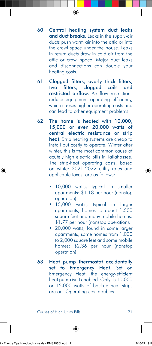- 60. Central heating system duct leaks and duct breaks. Leaks in the supply-air ducts push warm air into the attic or into the crawl space under the house. Leaks in return ducts draw in cold air from the attic or crawl space. Major duct leaks and disconnections can double your heating costs.
- 61. Clogged filters, overly thick filters, two filters, clogged coils and restricted airflow. Air flow restrictions reduce equipment operating efficiency, which causes higher operating costs and can lead to other equipment problems.
- 62. The home is heated with 10,000, 15,000 or even 20,000 watts of central electric resistance or strip heat. Strip heating systems are cheap to install but costly to operate. Winter after winter, this is the most common cause of acutely high electric bills in Tallahassee. The strip-heat operating costs, based on winter 2021-2022 utility rates and applicable taxes, are as follows:
	- 10,000 watts, typical in smaller apartments: \$1.18 per hour (nonstop operation).
	- 15,000 watts, typical in larger apartments, homes to about 1,500 square feet and many mobile homes: \$1.77 per hour (nonstop operation).
	- 20,000 watts, found in some larger apartments, some homes from 1,000 to 2,000 square feet and some mobile homes: \$2.36 per hour (nonstop operation).
- 63. Heat pump thermostat accidentally set to Emergency Heat. Set on Emergency Heat, the energy-efficient heat pump isn't enabled. Only its 10,000 or 15,000 watts of backup heat strips are on. Operating cost doubles.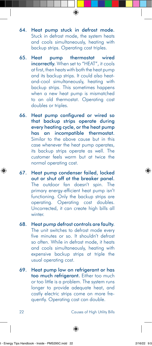- 64. Heat pump stuck in defrost mode. Stuck in defrost mode, the system heats and cools simultaneously, heating with backup strips. Operating cost triples.
- 65. Heat pump thermostat wired incorrectly. When set to "HEAT", it cools at first, then heats with both the heat pump and its backup strips. It could also heatand-cool simultaneously, heating with backup strips. This sometimes happens when a new heat pump is mismatched to an old thermostat. Operating cost doubles or triples.
- 66. Heat pump configured or wired so that backup strips operate during every heating cycle, or the heat pump has an incompatible thermostat. Similar to the above cause but in this case whenever the heat pump operates, its backup strips operate as well. The customer feels warm but at twice the normal operating cost.
- 67. Heat pump condenser failed, locked out or shut off at the breaker panel. The outdoor fan doesn't spin. The primary energy-efficient heat pump isn't functioning. Only the backup strips are operating. Operating cost doubles. Uncorrected, it can create high bills all winter.
- 68. Heat pump defrost controls are faulty. The unit switches to defrost mode every five minutes or so. It shouldn't defrost so often. While in defrost mode, it heats and cools simultaneously, heating with expensive backup strips at triple the usual operating cost.
- 69. Heat pump low on refrigerant or has too much refrigerant. Either too much or too little is a problem. The system runs longer to provide adequate heat, and costly electric strips come on more frequently. Operating cost can double.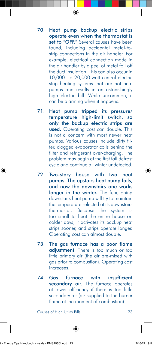- 70. Heat pump backup electric strips operate even when the thermostat is set to "OFF." Several causes have been found, including accidental metal-tostrip connections in the air handler. For example, electrical connection made in the air handler by a peel of metal foil off the duct insulation. This can also occur in 10,000- to 20,000-watt central electric strip heating systems that are not heat pumps and results in an astonishingly high electric bill. While uncommon, it can be alarming when it happens.
- 71. Heat pump tripped its pressure/ temperature high-limit switch, so only the backup electric strips are used. Operating cost can double. This is not a concern with most newer heat pumps. Various causes include dirty filter, clogged evaporator coils behind the filter and refrigerant over-charging. The problem may begin at the first fall defrost cycle and continue all winter undetected.
- 72. Two-story house with two heat pumps: The upstairs heat pump fails, and now the downstairs one works longer in the winter. The functioning downstairs heat pump will try to maintain the temperature selected at its downstairs thermostat. Because the system is too small to heat the entire house on colder days, it activates its backup heat strips sooner, and strips operate longer. Operating cost can almost double.
- 73. The gas furnace has a poor flame adjustment. There is too much or too little primary air (the air pre-mixed with gas prior to combustion). Operating cost increases.
- 74. Gas furnace with insufficient secondary air. The furnace operates at lower efficiency if there is too little secondary air (air supplied to the burner flame at the moment of combustion).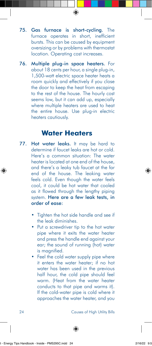- 75. Gas furnace is short-cycling. The furnace operates in short, inefficient bursts. This can be caused by equipment oversizing or by problems with thermostat location. Operating cost increases.
- 76. Multiple plug-in space heaters. For about 18 cents per hour, a single plug-in, 1,500-watt electric space heater heats a room quickly and effectively if you close the door to keep the heat from escaping to the rest of the house. The hourly cost seems low, but it can add up, especially where multiple heaters are used to heat the entire house. Use plug-in electric heaters cautiously.

#### **Water Heaters**

- 77. Hot water leaks. It may be hard to determine if faucet leaks are hot or cold. Here's a common situation: The water heater is located at one end of the house, and there's a leaky tub faucet at the far end of the house. The leaking water feels cold. Even though the water feels cool, it could be hot water that cooled as it flowed through the lengthy piping system. Here are a few leak tests, in order of ease:
	- Tighten the hot side handle and see if the leak diminishes.
	- Put a screwdriver tip to the hot water pipe where it exits the water heater and press the handle end against your ear; the sound of running (hot) water is magnified.
	- Feel the cold water supply pipe where it enters the water heater; if no hot water has been used in the previous half hour, the cold pipe should feel warm. (Heat from the water heater conducts to that pipe and warms it). If the cold-water pipe is cold where it approaches the water heater, and you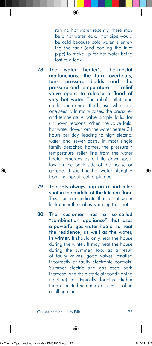ran no hot water recently, there may be a hot water leak. That pipe would be cold because cold water is entering the tank (and cooling the inlet pipe) to make up for hot water being lost to a leak.

- 78. The water heater's thermostat malfunctions, the tank overheats, tank pressure builds and the pressure-and-temperature relief valve opens to release a flood of very hot water. The relief outlet pipe could open under the house, where no one sees it. In many cases, the pressureand-temperature valve simply fails, for unknown reasons. When the valve fails, hot water flows from the water heater 24 hours per day, leading to high electric, water and sewer costs. In most single family detached homes, the pressure / temperature relief line from the water heater emerges as a little down-spout low on the back side of the house or garage. If you find hot water plunging from that spout, call a plumber.
- 79. The cats always nap on a particular spot in the middle of the kitchen floor. This clue can indicate that a hot water leak under the slab is warming the spot.
- 80. The customer has a so-called "combination appliance" that uses a powerful gas water heater to heat the residence, as well as the water, in winter. It should only heat the house during the winter. It may heat the house during the summer, too, as a result of faulty valves, good valves installed incorrectly or faulty electronic controls. Summer electric and gas costs both increase, and the electric air conditioning (cooling) cost typically doubles. Higher than expected summer gas cost is often a telling clue.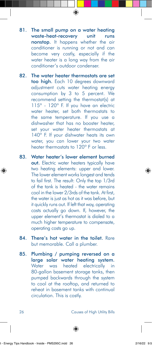- 81. The small pump on a water heating waste-heat-recovery unit runs nonstop. It happens whether the air conditioner is running or not and can become very costly, especially if the water heater is a long way from the air conditioner's outdoor condenser.
- 82. The water heater thermostats are set too high. Each 10 degrees downward adjustment cuts water heating energy consumption by 3 to 5 percent. We recommend setting the thermostat(s) at 115º - 120º F. If you have an electric water heater, set both thermostats to the same temperature. If you use a dishwasher that has no booster heater, set your water heater thermostats at 140<sup>°</sup> F. If your dishwater heats its own water, you can lower your two water heater thermostats to 120º F or less.
- 83. Water heater's lower element burned out. Electric water heaters typically have two heating elements: upper and lower. The lower element works longest and tends to fail first. The result: Only the top 1/3rd of the tank is heated - the water remains cool in the lower 2/3rds of the tank. At first, the water is just as hot as it was before, but it quickly runs out. If left that way, operating costs actually go down. If, however, the upper element's thermostat is dialed to a much higher temperature to compensate, operating costs go up.
- 84. There's hot water in the toilet. Rare but memorable. Call a plumber.
- 85. Plumbing / pumping reversed on a large solar water heating system. Water was heated electrically in 80-gallon basement storage tanks, then pumped backwards through the system to cool at the rooftop, and returned to reheat in basement tanks with continual circulation. This is costly.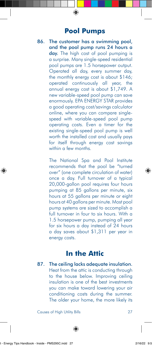#### **Pool Pumps**

86. The customer has a swimming pool, and the pool pump runs 24 hours a day. The high cost of pool pumping is a surprise. Many single-speed residential pool pumps are 1.5 horsepower output. Operated all day, every summer day, the monthly energy cost is about \$146; operated continuously all year, the annual energy cost is about \$1,749. A new variable-speed pool pump can save enormously. EPA ENERGY STAR provides a good operating cost/savings calculator online, where you can compare singlespeed with variable-speed pool pump operating costs. Even a timer for the existing single-speed pool pump is well worth the installed cost and usually pays for itself through energy cost savings within a few months.

> The National Spa and Pool Institute recommends that the pool be "turned over" (one complete circulation of water) once a day. Full turnover of a typical 20,000-gallon pool requires four hours pumping at 85 gallons per minute, six hours at 55 gallons per minute or eight hours at 40 gallons per minute. Most pool pump systems are sized to accomplish a full turnover in four to six hours. With a 1.5 horsepower pump, pumping all year for six hours a day instead of 24 hours a day saves about \$1,311 per year in energy costs.

#### **In the Attic**

87. The ceiling lacks adequate insulation. Heat from the attic is conducting through to the house below. Improving ceiling insulation is one of the best investments you can make toward lowering your air conditioning costs during the summer. The older your home, the more likely its

Causes of High Utility Bills 27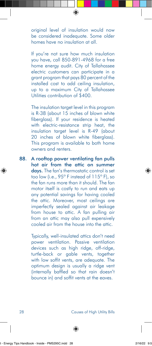original level of insulation would now be considered inadequate. Some older homes have no insulation at all.

If you're not sure how much insulation you have, call 850-891-4968 for a free home energy audit. City of Tallahassee electric customers can participate in a grant program that pays 80 percent of the installed cost to add ceiling insulation, up to a maximum City of Tallahassee Utilities contribution of \$400.

The insulation target level in this program is R-38 (about 15 inches of blown white fiberglass). If your residence is heated with electric-resistance strip heat, the insulation target level is R-49 (about 20 inches of blown white fiberglass). This program is available to both home owners and renters.

88. A rooftop power ventilating fan pulls hot air from the attic on summer days. The fan's thermostatic control is set too low (i.e., 95º F instead of 115º F), so the fan runs more than it should. The fan motor itself is costly to run and eats up any potential savings for having cooled the attic. Moreover, most ceilings are imperfectly sealed against air leakage from house to attic. A fan pulling air from an attic may also pull expensively cooled air from the house into the attic.

> Typically, well-insulated attics don't need power ventilation. Passive ventilation devices such as high ridge, off-ridge, turtle-back or gable vents, together with low soffit vents, are adequate. The optimum design is usually a ridge vent (internally baffled so that rain doesn't bounce in) and soffit vents at the eaves.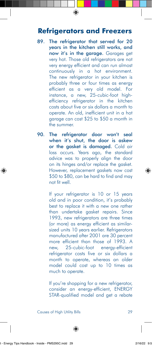#### **Refrigerators and Freezers**

- 89. The refrigerator that served for 20 years in the kitchen still works, and now it's in the garage. Garages get very hot. Those old refrigerators are not very energy efficient and can run almost continuously in a hot environment. The new refrigerator in your kitchen is probably three or four times as energy efficient as a very old model. For instance, a new, 25-cubic-foot highefficiency refrigerator in the kitchen costs about five or six dollars a month to operate. An old, inefficient unit in a hot garage can cost \$25 to \$50 a month in the summer.
- 90. The refrigerator door won't seal when it's shut, the door is askew or the gasket is damaged. Cold air loss occurs. Years ago, the standard advice was to properly align the door on its hinges and/or replace the gasket. However, replacement gaskets now cost \$50 to \$80, can be hard to find and may not fit well.

If your refrigerator is 10 or 15 years old and in poor condition, it's probably best to replace it with a new one rather than undertake gasket repairs. Since 1993, new refrigerators are three times (or more) as energy efficient as similarsized units 10 years earlier. Refrigerators manufactured after 2001 are 30 percent more efficient than those of 1993. A new, 25-cubic-foot energy-efficient refrigerator costs five or six dollars a month to operate, whereas an older model could cost up to 10 times as much to operate.

If you're shopping for a new refrigerator, consider an energy-efficient, ENERGY STAR-qualified model and get a rebate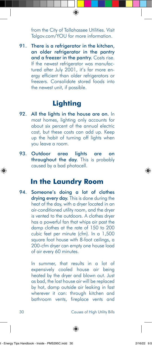from the City of Tallahassee Utilities. Visit Talgov.com/YOU for more information.

91. There is a refrigerator in the kitchen, an older refrigerator in the pantry and a freezer in the pantry. Costs rise. If the newest refrigerator was manufactured after July 2001, it's far more energy efficient than older refrigerators or freezers. Consolidate stored foods into the newest unit, if possible.

#### **Lighting**

- 92. All the lights in the house are on. In most homes, lighting only accounts for about six percent of the annual electric cost, but these costs can add up. Keep up the habit of turning off lights when you leave a room.
- 93. Outdoor area lights are on throughout the day. This is probably caused by a bad photocell.

#### **In the Laundry Room**

94. Someone's doing a lot of clothes drying every day. This is done during the heat of the day, with a dryer located in an air-conditioned utility room, and the dryer is vented to the outdoors. A clothes dryer has a powerful fan that whips air past the damp clothes at the rate of 150 to 200 cubic feet per minute (cfm). In a 1,500 square foot house with 8-foot ceilings, a 200-cfm dryer can empty one house load of air every 60 minutes.

> In summer, that results in a lot of expensively cooled house air being heated by the dryer and blown out. Just as bad, the lost house air will be replaced by hot, damp outside air leaking in fast wherever it can: through kitchen and bathroom vents, fireplace vents and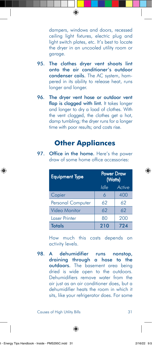dampers, windows and doors, recessed ceiling light fixtures, electric plug and light switch plates, etc. It's best to locate the dryer in an uncooled utility room or garage.

- 95. The clothes dryer vent shoots lint onto the air conditioner's outdoor condenser coils. The AC system, hampered in its ability to release heat, runs longer and longer.
- 96. The dryer vent hose or outdoor vent flap is clogged with lint. It takes longer and longer to dry a load of clothes. With the vent clogged, the clothes get a hot, damp tumbling; the dryer runs for a longer time with poor results; and costs rise.

#### **Other Appliances**

97. Office in the home. Here's the power draw of some home office accessories:

| <b>Equipment Type</b>    | <b>Power Draw</b><br>(Watts) |        |
|--------------------------|------------------------------|--------|
|                          | Idle                         | Active |
| Copier                   | 6                            | 400    |
| <b>Personal Computer</b> | 62                           | 62     |
| Video Monitor            | 62                           | 62     |
| Laser Printer            | 80                           | 200    |
| <b>Totals</b>            | 210                          | 724    |

How much this costs depends on activity levels.

98. A dehumidifier runs nonstop, draining through a hose to the outdoors. The basement area being dried is wide open to the outdoors. Dehumidifiers remove water from the air just as an air conditioner does, but a dehumidifier heats the room in which it sits, like your refrigerator does. For some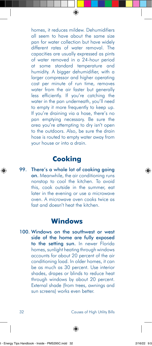homes, it reduces mildew. Dehumidifiers all seem to have about the same size pan for water collection but have widely different rates of water removal. The capacities are usually expressed as pints of water removed in a 24-hour period at some standard temperature and humidity. A bigger dehumidifier, with a larger compressor and higher operating cost per minute of run time, removes water from the air faster but generally less efficiently. If you're catching the water in the pan underneath, you'll need to empty it more frequently to keep up. If you're draining via a hose, there's no pan emptying necessary. Be sure the area you're attempting to dry isn't open to the outdoors. Also, be sure the drain hose is routed to empty water away from your house or into a drain.

#### **Cooking**

99. There's a whole lot of cooking going on. Meanwhile, the air conditioning runs nonstop to cool the kitchen. To avoid this, cook outside in the summer, eat later in the evening or use a microwave oven. A microwave oven cooks twice as fast and doesn't heat the kitchen.

#### **Windows**

100. Windows on the southwest or west side of the home are fully exposed to the setting sun. In newer Florida homes, sunlight heating through windows accounts for about 20 percent of the air conditioning load. In older homes, it can be as much as 30 percent. Use interior shades, drapes or blinds to reduce heat through windows by about 20 percent. External shade (from trees, awnings and sun screens) works even better.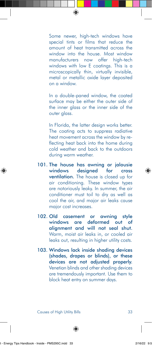Some newer, high-tech windows have special tints or films that reduce the amount of heat transmitted across the window into the house. Most window manufacturers now offer high-tech windows with low E coatings. This is a microscopically thin, virtually invisible, metal or metallic oxide layer deposited on a window.

In a double-paned window, the coated surface may be either the outer side of the inner glass or the inner side of the outer glass.

In Florida, the latter design works better. The coating acts to suppress radiative heat movement across the window by reflecting heat back into the home during cold weather and back to the outdoors during warm weather.

- 101. The house has awning or jalousie windows designed for cross ventilation. The house is closed up for air conditioning. These window types are notoriously leaky. In summer, the air conditioner must toil to dry as well as cool the air, and major air leaks cause major cost increases.
- 102. Old casement or awning style windows are deformed out of alignment and will not seal shut. Warm, moist air leaks in, or cooled air leaks out, resulting in higher utility costs.
- 103. Windows lack inside shading devices (shades, drapes or blinds), or these devices are not adjusted properly. Venetian blinds and other shading devices are tremendously important. Use them to block heat entry on summer days.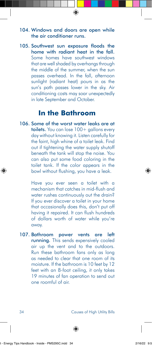#### 104. Windows and doors are open while the air conditioner runs.

105. Southwest sun exposure floods the home with radiant heat in the fall. Some homes have southwest windows that are well shaded by overhangs through the middle of the summer, when the sun passes overhead. In the fall, afternoon sunlight (radiant heat) pours in as the sun's path passes lower in the sky. Air conditioning costs may soar unexpectedly in late September and October.

#### **In the Bathroom**

106. Some of the worst water leaks are at toilets. You can lose 100+ gallons every day without knowing it. Listen carefully for the faint, high whine of a toilet leak. Find out if tightening the water supply shutoff beneath the tank will stop the noise. You can also put some food coloring in the toilet tank. If the color appears in the bowl without flushing, you have a leak.

> Have you ever seen a toilet with a mechanism that catches in mid-flush and water rushes continuously out the drain? If you ever discover a toilet in your home that occasionally does this, don't put off having it repaired. It can flush hundreds of dollars worth of water while you're away.

107. Bathroom power vents are left running. This sends expensively cooled air up the vent and to the outdoors. Run these bathroom fans only as long as needed to clear that one room of its moisture. If the bathroom is 10 feet by 12 feet with an 8-foot ceiling, it only takes 19 minutes of fan operation to send out one roomful of air.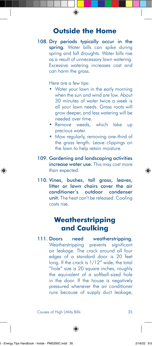#### **Outside the Home**

108. Dry periods typically occur in the spring. Water bills can spike during spring and fall droughts. Water bills rise as a result of unnecessary lawn watering. Excessive watering increases cost and can harm the grass.

Here are a few tips:

- Water your lawn in the early morning when the sun and wind are low. About 30 minutes of water twice a week is all your lawn needs. Grass roots will grow deeper, and less watering will be needed over time.
- Remove weeds, which take up precious water.
- Mow regularly, removing one-third of the grass length. Leave clippings on the lawn to help retain moisture.
- 109. Gardening and landscaping activities increase water use. This may cost more than expected.
- 110. Vines, bushes, tall grass, leaves, litter or lawn chairs cover the air conditioner's outdoor condenser unit. The heat can't be released. Cooling costs rise.

#### **Weatherstripping and Caulking**

111. Doors need weatherstripping. Weatherstripping prevents significant air leakage. The crack around all four edges of a standard door is 20 feet long. If the crack is 1/12" wide, the total "hole" size is 20 square inches, roughly the equivalent of a softball-sized hole in the door. If the house is negatively pressured whenever the air conditioner runs because of supply duct leakage,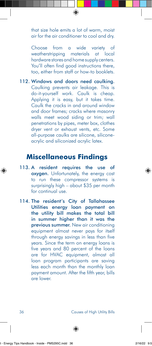that size hole emits a lot of warm, moist air for the air conditioner to cool and dry.

Choose from a wide variety of weatherstripping materials at local hardware stores and home supply centers. You'll often find good instructions there, too, either from staff or how-to booklets.

112. Windows and doors need caulking. Caulking prevents air leakage. This is do-it-yourself work. Caulk is cheap. Applying it is easy, but it takes time. Caulk the cracks in and around window and door frames; cracks where masonry walls meet wood siding or trim; wall penetrations by pipes, meter box, clothes dryer vent or exhaust vents, etc. Some all-purpose caulks are silicone, siliconeacrylic and siliconized acrylic latex.

#### **Miscellaneous Findings**

- 113. A resident requires the use of oxygen. Unfortunately, the energy cost to run these compressor systems is surprisingly high – about \$35 per month for continual use.
- 114. The resident's City of Tallahassee Utilities energy loan payment on the utility bill makes the total bill in summer higher than it was the previous summer. New air conditioning equipment almost never pays for itself through energy savings in less than five years. Since the term on energy loans is five years and 80 percent of the loans are for HVAC equipment, almost all loan program participants are saving less each month than the monthly loan payment amount. After the fifth year, bills are lower.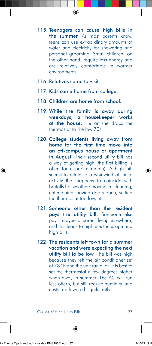- 115. Teenagers can cause high bills in the summer. As most parents know, teens can use extraordinary amounts of water and electricity for showering and personal grooming. Small children, on the other hand, require less energy and are relatively comfortable in warmer environments.
- 116. Relatives come to visit.
- 117. Kids come home from college.
- 118. Children are home from school.
- 119. While the family is away during weekdays, a housekeeper works at the house. He or she drops the thermostat to the low 70s.
- 120. College students living away from home for the first time move into an off-campus house or apartment in August. Their second utility bill has a way of getting high (the first billing is often for a partial month). A high bill seems to relate to a whirlwind of initial activity that happens to coincide with brutally hot weather: moving in, cleaning, entertaining, having doors open, setting the thermostat too low, etc.
- 121. Someone other than the resident pays the utility bill. Someone else pays, maybe a parent living elsewhere, and this leads to high electric usage and high bills.
- 122. The residents left town for a summer vacation and were expecting the next utility bill to be low. The bill was high because they left the air conditioner set at 78º F and the unit ran a lot. It is best to set the thermostat a few degrees higher when away in summer. The AC will run less oftern, but still reduce humidity, and costs are lowered significantly.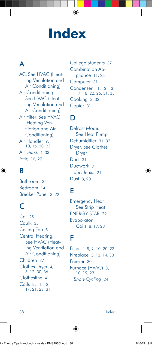# **Index**

# A

AC. See HVAC (Heating Ventilation and Air Conditioning) Air Conditioning. See HVAC (Heating Ventilation and Air Conditioning) Air Filter. See HVAC (Heating Ventilation and Air Conditioning) Air Handler 9, 10, 16, 20, 23 Air Leaks 4, 33 Attic 16, 27

# B

Bathroom 34 Bedroom 14 Breaker Panel 3, 22

### $\mathsf{C}$

Cat 25 Caulk 35 Ceiling Fan 5 Central Heating. See HVAC (Heating Ventilation and Air Conditioning) Children 37 Clothes Dryer 4, 5, 12, 30, 36 Clothesline 4 Coils 8, 11, 12, 17, 21, 23, 31

College Students 37 Combination Appliance 11, 25 Computer 31 Condenser 11, 12, 13, 17, 18, 22, 26, 31, 35 Cooking 3, 32 Copier 31

#### D

Defrost Mode. See Heat Pump Dehumidifier 31, 32 Dryer. See Clothes Dryer Duct 31 Ductwork 9 *duct leaks* 21 Dust 8, 20

# E

Emergency Heat. See Strip Heat ENERGY STAR 29 **Evaporator** Coils 8, 17, 23

### F

Filter 4, 8, 9, 10, 20, 23 Fireplace 3, 13, 14, 30 Freezer 30 Furnace (HVAC) 3, 10, 19, 23 *Short-Cycling* 24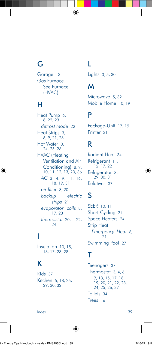#### G

Garage 13 Gas Furnace. See Furnace (HVAC)

### H

Heat Pump 6, 8, 22, 23 *defrost mode* 22 Heat Strips 3, 6, 9, 21, 23 Hot Water 3, 24, 25, 26 HVAC (Heating Ventilation and Air Conditioning) 8, 9, 10, 11, 12, 13, 20, 36 *AC* 3, 4, 9, 11, 16, 18, 19, 31 *air filter* 8, 20 *backup electric strips* 21 *evaporator coils* 8, 17, 23 *thermostat* 20, 22, 24

# I

Insulation 10, 15, 16, 17, 23, 28

## K

Kids 37 Kitchen 5, 18, 25, 29, 30, 32

# L

Lights 3, 5, 30

# M

Microwave 5, 32 Mobile Home 10, 19

#### P

Package-Unit 17, 19 Printer 31

## R

Radiant Heat 34 Refrigerant 11, 12, 17, 22 Refrigerator 3, 29, 30, 31 Relatives 37

## S

SEER 10, 11 Short-Cycling 24 Space Heaters 24 Strip Heat *Emergency Heat* 6, 21 Swimming Pool 27

# T

Teenagers 37 Thermostat 3, 4, 6, 9, 13, 15, 17, 18, 19, 20, 21, 22, 23, 24, 25, 26, 37 Toilets 34 Trees 16

Index 39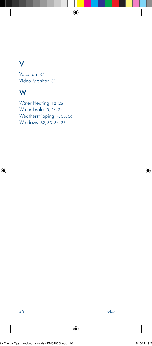#### V

Vacation 37 Video Monitor 31

#### W

Water Heating 12, 26 Water Leaks 3, 24, 34 Weatherstripping 4, 35, 36 Windows 32, 33, 34, 36